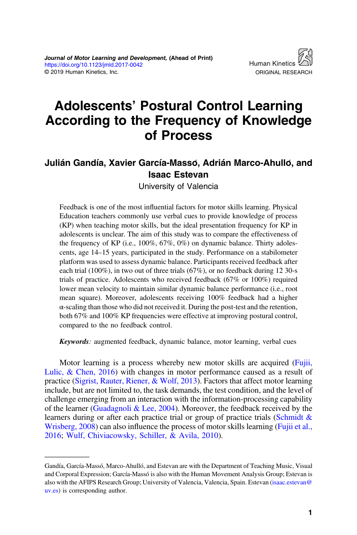# Adolescents' Postural Control Learning According to the Frequency of Knowledge of Process

# Julián Gandía, Xavier García-Masso, Adrián Marco-Ahullo, and Isaac Estevan

University of Valencia

Feedback is one of the most influential factors for motor skills learning. Physical Education teachers commonly use verbal cues to provide knowledge of process (KP) when teaching motor skills, but the ideal presentation frequency for KP in adolescents is unclear. The aim of this study was to compare the effectiveness of the frequency of KP (i.e., 100%, 67%, 0%) on dynamic balance. Thirty adolescents, age 14–15 years, participated in the study. Performance on a stabilometer platform was used to assess dynamic balance. Participants received feedback after each trial (100%), in two out of three trials (67%), or no feedback during 12 30-s trials of practice. Adolescents who received feedback (67% or 100%) required lower mean velocity to maintain similar dynamic balance performance (i.e., root mean square). Moreover, adolescents receiving 100% feedback had a higher α-scaling than those who did not received it. During the post-test and the retention, both 67% and 100% KP frequencies were effective at improving postural control, compared to the no feedback control.

Keywords: augmented feedback, dynamic balance, motor learning, verbal cues

Motor learning is a process whereby new motor skills are acquired ([Fujii,](#page-8-0) [Lulic, & Chen, 2016](#page-8-0)) with changes in motor performance caused as a result of practice ([Sigrist, Rauter, Riener, & Wolf, 2013\)](#page-9-0). Factors that affect motor learning include, but are not limited to, the task demands, the test condition, and the level of challenge emerging from an interaction with the information-processing capability of the learner (Guadagnoli & Lee,  $2004$ ). Moreover, the feedback received by the learners during or after each practice trial or group of practice trials (Schmidt  $\&$ [Wrisberg, 2008](#page-9-0)) can also influence the process of motor skills learning ([Fujii et al.,](#page-8-0) [2016](#page-8-0); [Wulf, Chiviacowsky, Schiller, & Avila, 2010](#page-9-0)).

Gandía, García-Massó, Marco-Ahulló, and Estevan are with the Department of Teaching Music, Visual and Corporal Expression; García-Massó is also with the Human Movement Analysis Group; Estevan is also with the AFIPS Research Group; University of Valencia, Valencia, Spain. Estevan [\(isaac.estevan@](mailto:isaac.estevan@uv.es) [uv.es\)](mailto:isaac.estevan@uv.es) is corresponding author.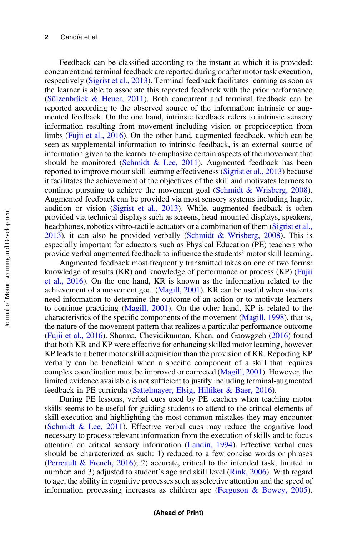Feedback can be classified according to the instant at which it is provided: concurrent and terminal feedback are reported during or after motor task execution, respectively [\(Sigrist et al., 2013\)](#page-9-0). Terminal feedback facilitates learning as soon as the learner is able to associate this reported feedback with the prior performance [\(Sülzenbrück & Heuer, 2011](#page-9-0)). Both concurrent and terminal feedback can be reported according to the observed source of the information: intrinsic or augmented feedback. On the one hand, intrinsic feedback refers to intrinsic sensory information resulting from movement including vision or proprioception from limbs [\(Fujii et al., 2016](#page-8-0)). On the other hand, augmented feedback, which can be seen as supplemental information to intrinsic feedback, is an external source of information given to the learner to emphasize certain aspects of the movement that should be monitored ([Schmidt & Lee, 2011\)](#page-9-0). Augmented feedback has been reported to improve motor skill learning effectiveness [\(Sigrist et al., 2013](#page-9-0)) because it facilitates the achievement of the objectives of the skill and motivates learners to continue pursuing to achieve the movement goal [\(Schmidt & Wrisberg, 2008](#page-9-0)). Augmented feedback can be provided via most sensory systems including haptic, audition or vision ([Sigrist et al., 2013\)](#page-9-0). While, augmented feedback is often provided via technical displays such as screens, head-mounted displays, speakers, headphones, robotics vibro-tactile actuators or a combination of them [\(Sigrist et al.,](#page-9-0) [2013](#page-9-0)), it can also be provided verbally (Schmidt & Wrisberg,  $2008$ ). This is especially important for educators such as Physical Education (PE) teachers who provide verbal augmented feedback to influence the students' motor skill learning.

Augmented feedback most frequently transmitted takes on one of two forms: knowledge of results (KR) and knowledge of performance or process (KP) [\(Fujii](#page-8-0) [et al., 2016\)](#page-8-0). On the one hand, KR is known as the information related to the achievement of a movement goal [\(Magill, 2001](#page-8-0)). KR can be useful when students need information to determine the outcome of an action or to motivate learners to continue practicing ([Magill, 2001\)](#page-8-0). On the other hand, KP is related to the characteristics of the specific components of the movement ([Magill, 1998\)](#page-8-0), that is, the nature of the movement pattern that realizes a particular performance outcome [\(Fujii et al., 2016](#page-8-0)). Sharma, Chevidikunnan, Khan, and Gaowgzeh [\(2016](#page-9-0)) found that both KR and KP were effective for enhancing skilled motor learning, however KP leads to a better motor skill acquisition than the provision of KR. Reporting KP verbally can be beneficial when a specific component of a skill that requires complex coordination must be improved or corrected ([Magill, 2001](#page-8-0)). However, the limited evidence available is not sufficient to justify including terminal-augmented feedback in PE curricula [\(Sattelmayer, Elsig, Hil](#page-9-0)fiker & Baer, 2016).

During PE lessons, verbal cues used by PE teachers when teaching motor skills seems to be useful for guiding students to attend to the critical elements of skill execution and highlighting the most common mistakes they may encounter [\(Schmidt & Lee, 2011\)](#page-9-0). Effective verbal cues may reduce the cognitive load necessary to process relevant information from the execution of skills and to focus attention on critical sensory information ([Landin, 1994](#page-8-0)). Effective verbal cues should be characterized as such: 1) reduced to a few concise words or phrases (Perreault  $\&$  French, 2016); 2) accurate, critical to the intended task, limited in number; and 3) adjusted to student's age and skill level [\(Rink, 2006](#page-9-0)). With regard to age, the ability in cognitive processes such as selective attention and the speed of information processing increases as children age ([Ferguson & Bowey, 2005](#page-8-0)).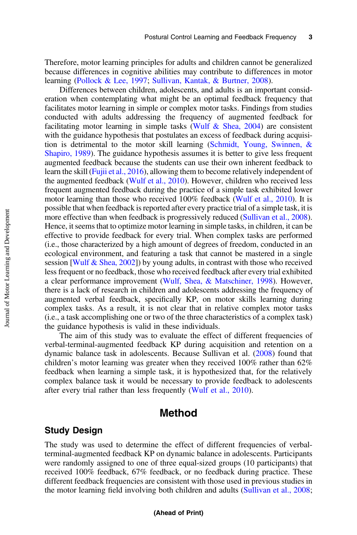Therefore, motor learning principles for adults and children cannot be generalized because differences in cognitive abilities may contribute to differences in motor learning ([Pollock & Lee, 1997](#page-8-0); [Sullivan, Kantak, & Burtner, 2008\)](#page-9-0).

Differences between children, adolescents, and adults is an important consideration when contemplating what might be an optimal feedback frequency that facilitates motor learning in simple or complex motor tasks. Findings from studies conducted with adults addressing the frequency of augmented feedback for facilitating motor learning in simple tasks (Wulf  $\&$  Shea, 2004) are consistent with the guidance hypothesis that postulates an excess of feedback during acquisition is detrimental to the motor skill learning [\(Schmidt, Young, Swinnen, &](#page-9-0) [Shapiro, 1989\)](#page-9-0). The guidance hypothesis assumes it is better to give less frequent augmented feedback because the students can use their own inherent feedback to learn the skill [\(Fujii et al., 2016\)](#page-8-0), allowing them to become relatively independent of the augmented feedback [\(Wulf et al., 2010](#page-9-0)). However, children who received less frequent augmented feedback during the practice of a simple task exhibited lower motor learning than those who received 100% feedback ([Wulf et al., 2010](#page-9-0)). It is possible that when feedback is reported after every practice trial of a simple task, it is more effective than when feedback is progressively reduced ([Sullivan et al., 2008](#page-9-0)). Hence, it seems that to optimize motor learning in simple tasks, in children, it can be effective to provide feedback for every trial. When complex tasks are performed (i.e., those characterized by a high amount of degrees of freedom, conducted in an ecological environment, and featuring a task that cannot be mastered in a single session [[Wulf & Shea, 2002\]](#page-9-0)) by young adults, in contrast with those who received less frequent or no feedback, those who received feedback after every trial exhibited a clear performance improvement [\(Wulf, Shea, & Matschiner, 1998](#page-10-0)). However, there is a lack of research in children and adolescents addressing the frequency of augmented verbal feedback, specifically KP, on motor skills learning during complex tasks. As a result, it is not clear that in relative complex motor tasks (i.e., a task accomplishing one or two of the three characteristics of a complex task) the guidance hypothesis is valid in these individuals.

The aim of this study was to evaluate the effect of different frequencies of verbal-terminal-augmented feedback KP during acquisition and retention on a dynamic balance task in adolescents. Because Sullivan et al. [\(2008](#page-9-0)) found that children's motor learning was greater when they received 100% rather than 62% feedback when learning a simple task, it is hypothesized that, for the relatively complex balance task it would be necessary to provide feedback to adolescents after every trial rather than less frequently ([Wulf et al., 2010\)](#page-9-0).

### Method

#### Study Design

The study was used to determine the effect of different frequencies of verbalterminal-augmented feedback KP on dynamic balance in adolescents. Participants were randomly assigned to one of three equal-sized groups (10 participants) that received 100% feedback, 67% feedback, or no feedback during practice. These different feedback frequencies are consistent with those used in previous studies in the motor learning field involving both children and adults ([Sullivan et al., 2008](#page-9-0);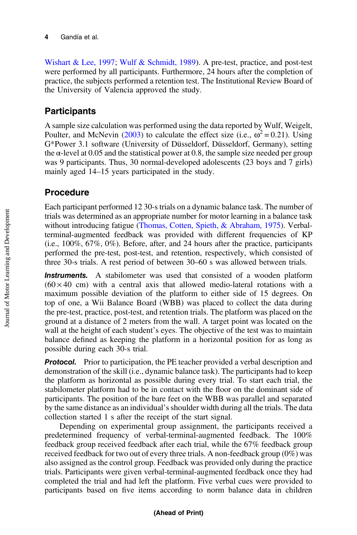[Wishart & Lee, 1997](#page-9-0); [Wulf & Schmidt, 1989\)](#page-9-0). A pre-test, practice, and post-test were performed by all participants. Furthermore, 24 hours after the completion of practice, the subjects performed a retention test. The Institutional Review Board of the University of Valencia approved the study.

## **Participants**

A sample size calculation was performed using the data reported by Wulf, Weigelt, Poulter, and McNevin [\(2003](#page-10-0)) to calculate the effect size (i.e.,  $\omega^2 = 0.21$ ). Using G\*Power 3.1 software (University of Düsseldorf, Düsseldorf, Germany), setting the  $\alpha$ -level at 0.05 and the statistical power at 0.8, the sample size needed per group was 9 participants. Thus, 30 normal-developed adolescents (23 boys and 7 girls) mainly aged 14–15 years participated in the study.

### Procedure

Each participant performed 12 30-s trials on a dynamic balance task. The number of trials was determined as an appropriate number for motor learning in a balance task without introducing fatigue [\(Thomas, Cotten, Spieth, & Abraham, 1975\)](#page-9-0). Verbalterminal-augmented feedback was provided with different frequencies of KP (i.e., 100%, 67%, 0%). Before, after, and 24 hours after the practice, participants performed the pre-test, post-test, and retention, respectively, which consisted of three 30-s trials. A rest period of between 30–60 s was allowed between trials.

**Instruments.** A stabilometer was used that consisted of a wooden platform  $(60 \times 40$  cm) with a central axis that allowed medio-lateral rotations with a maximum possible deviation of the platform to either side of 15 degrees. On top of one, a Wii Balance Board (WBB) was placed to collect the data during the pre-test, practice, post-test, and retention trials. The platform was placed on the ground at a distance of 2 meters from the wall. A target point was located on the wall at the height of each student's eyes. The objective of the test was to maintain balance defined as keeping the platform in a horizontal position for as long as possible during each 30-s trial.

**Protocol.** Prior to participation, the PE teacher provided a verbal description and demonstration of the skill (i.e., dynamic balance task). The participants had to keep the platform as horizontal as possible during every trial. To start each trial, the stabilometer platform had to be in contact with the floor on the dominant side of participants. The position of the bare feet on the WBB was parallel and separated by the same distance as an individual's shoulder width during all the trials. The data collection started 1 s after the receipt of the start signal.

Depending on experimental group assignment, the participants received a predetermined frequency of verbal-terminal-augmented feedback. The 100% feedback group received feedback after each trial, while the 67% feedback group received feedback for two out of every three trials. A non-feedback group  $(0\%)$  was also assigned as the control group. Feedback was provided only during the practice trials. Participants were given verbal-terminal-augmented feedback once they had completed the trial and had left the platform. Five verbal cues were provided to participants based on five items according to norm balance data in children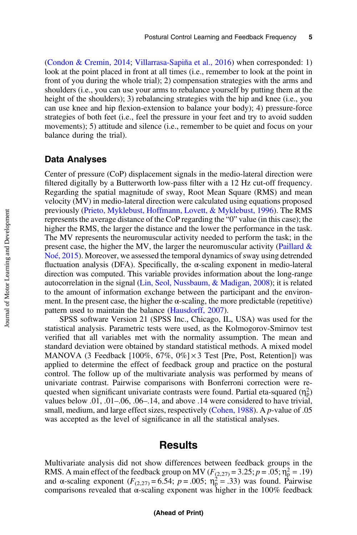[\(Condon & Cremin, 2014;](#page-8-0) Villarrasa-Sapiña et al., 2016) when corresponded: 1) look at the point placed in front at all times (i.e., remember to look at the point in front of you during the whole trial); 2) compensation strategies with the arms and shoulders (i.e., you can use your arms to rebalance yourself by putting them at the height of the shoulders); 3) rebalancing strategies with the hip and knee (i.e., you can use knee and hip flexion-extension to balance your body); 4) pressure-force strategies of both feet (i.e., feel the pressure in your feet and try to avoid sudden movements); 5) attitude and silence (i.e., remember to be quiet and focus on your balance during the trial).

#### Data Analyses

Center of pressure (CoP) displacement signals in the medio-lateral direction were filtered digitally by a Butterworth low-pass filter with a 12 Hz cut-off frequency. Regarding the spatial magnitude of sway, Root Mean Square (RMS) and mean velocity (MV) in medio-lateral direction were calculated using equations proposed previously [\(Prieto, Myklebust, Hoffmann, Lovett, & Myklebust, 1996](#page-9-0)). The RMS represents the average distance of the CoP regarding the "0" value (in this case); the higher the RMS, the larger the distance and the lower the performance in the task. The MV represents the neuromuscular activity needed to perform the task; in the present case, the higher the MV, the larger the neuromuscular activity (Paillard  $\&$ [Noé, 2015\)](#page-8-0). Moreover, we assessed the temporal dynamics of sway using detrended fluctuation analysis (DFA). Specifically, the  $\alpha$ -scaling exponent in medio-lateral direction was computed. This variable provides information about the long-range autocorrelation in the signal [\(Lin, Seol, Nussbaum, & Madigan, 2008](#page-8-0)); it is related to the amount of information exchange between the participant and the environment. In the present case, the higher the  $\alpha$ -scaling, the more predictable (repetitive) pattern used to maintain the balance ([Hausdorff, 2007](#page-8-0)).

SPSS software Version 21 (SPSS Inc., Chicago, IL, USA) was used for the statistical analysis. Parametric tests were used, as the Kolmogorov-Smirnov test verified that all variables met with the normality assumption. The mean and standard deviation were obtained by standard statistical methods. A mixed model MANOVA (3 Feedback [100%, 67%, 0%] $\times$ 3 Test [Pre, Post, Retention]) was applied to determine the effect of feedback group and practice on the postural control. The follow up of the multivariate analysis was performed by means of univariate contrast. Pairwise comparisons with Bonferroni correction were requested when significant univariate contrasts were found. Partial eta-squared  $(\eta_p^2)$ values below .01, .01–.06, .06–.14, and above .14 were considered to have trivial, small, medium, and large effect sizes, respectively [\(Cohen, 1988\)](#page-8-0). A p-value of .05 was accepted as the level of significance in all the statistical analyses.

### **Results**

Multivariate analysis did not show differences between feedback groups in the RMS. A main effect of the feedback group on MV ( $F_{(2,27)} = 3.25$ ;  $p = .05$ ;  $\eta_p^2 = .19$ ) and  $\alpha$ -scaling exponent ( $F_{(2,27)} = 6.54$ ;  $p = .005$ ;  $\eta_p^2 = .33$ ) was found. Pairwise comparisons revealed that  $\alpha$ -scaling exponent was higher in the 100% feedback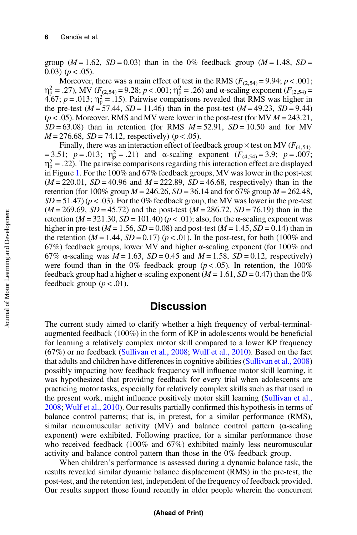group  $(M = 1.62, SD = 0.03)$  than in the 0% feedback group  $(M = 1.48, SD =$ 0.03)  $(p < .05)$ .

Moreover, there was a main effect of test in the RMS ( $F_{(2,54)} = 9.94$ ;  $p < .001$ ;  $η<sub>p</sub><sup>2</sup> = .27$ ), MV ( $F<sub>(2,54)</sub> = 9.28$ ;  $p < .001$ ;  $η<sub>p</sub><sup>2</sup> = .26$ ) and α-scaling exponent ( $F<sub>(2,54)</sub> =$ 4.67;  $p = .013$ ;  $\eta_p^2 = .15$ ). Pairwise comparisons revealed that RMS was higher in the pre-test ( $M = 57.44$ ,  $SD = 11.46$ ) than in the post-test ( $M = 49.23$ ,  $SD = 9.44$ )  $(p < .05)$ . Moreover, RMS and MV were lower in the post-test (for MV  $M = 243.21$ ,  $SD = 63.08$ ) than in retention (for RMS  $M = 52.91$ ,  $SD = 10.50$  and for MV  $M = 276.68$ ,  $SD = 74.12$ , respectively) ( $p < .05$ ).

Finally, there was an interaction effect of feedback group  $\times$  test on MV ( $F_{(4,54)}$ ) = 3.51;  $p = .013$ ;  $\eta_p^2 = .21$ ) and  $\alpha$ -scaling exponent  $(F_{(4,54)} = 3.9; p = .007;$  $\eta_{\rm p}^2$  = .22). The pairwise comparisons regarding this interaction effect are displayed in Figure [1](#page-6-0). For the 100% and 67% feedback groups, MV was lower in the post-test  $(M = 220.01, SD = 40.96$  and  $M = 222.89, SD = 46.68$ , respectively) than in the retention (for 100% group  $M = 246.26$ ,  $SD = 36.14$  and for 67% group  $M = 262.48$ ,  $SD = 51.47$ ) ( $p < .03$ ). For the 0% feedback group, the MV was lower in the pre-test  $(M = 269.69, SD = 45.72)$  and the post-test  $(M = 286.72, SD = 76.19)$  than in the retention ( $M = 321.30$ ,  $SD = 101.40$ ) ( $p < .01$ ); also, for the  $\alpha$ -scaling exponent was higher in pre-test ( $M = 1.56$ ,  $SD = 0.08$ ) and post-test ( $M = 1.45$ ,  $SD = 0.14$ ) than in the retention ( $M = 1.44$ ,  $SD = 0.17$ ) ( $p < .01$ ). In the post-test, for both (100% and 67%) feedback groups, lower MV and higher  $\alpha$ -scaling exponent (for 100% and 67%  $\alpha$ -scaling was  $M = 1.63$ ,  $SD = 0.45$  and  $M = 1.58$ ,  $SD = 0.12$ , respectively) were found than in the 0% feedback group ( $p < .05$ ). In retention, the 100% feedback group had a higher α-scaling exponent ( $M = 1.61$ ,  $SD = 0.47$ ) than the 0% feedback group  $(p < .01)$ .

# **Discussion**

The current study aimed to clarify whether a high frequency of verbal-terminalaugmented feedback (100%) in the form of KP in adolescents would be beneficial for learning a relatively complex motor skill compared to a lower KP frequency (67%) or no feedback ([Sullivan et al., 2008](#page-9-0); [Wulf et al., 2010](#page-9-0)). Based on the fact that adults and children have differences in cognitive abilities [\(Sullivan et al., 2008\)](#page-9-0) possibly impacting how feedback frequency will influence motor skill learning, it was hypothesized that providing feedback for every trial when adolescents are practicing motor tasks, especially for relatively complex skills such as that used in the present work, might influence positively motor skill learning ([Sullivan et al.,](#page-9-0) [2008](#page-9-0); [Wulf et al., 2010\)](#page-9-0). Our results partially confirmed this hypothesis in terms of balance control patterns; that is, in pretest, for a similar performance (RMS), similar neuromuscular activity (MV) and balance control pattern (α-scaling exponent) were exhibited. Following practice, for a similar performance those who received feedback (100% and 67%) exhibited mainly less neuromuscular activity and balance control pattern than those in the 0% feedback group.

When children's performance is assessed during a dynamic balance task, the results revealed similar dynamic balance displacement (RMS) in the pre-test, the post-test, and the retention test, independent of the frequency of feedback provided. Our results support those found recently in older people wherein the concurrent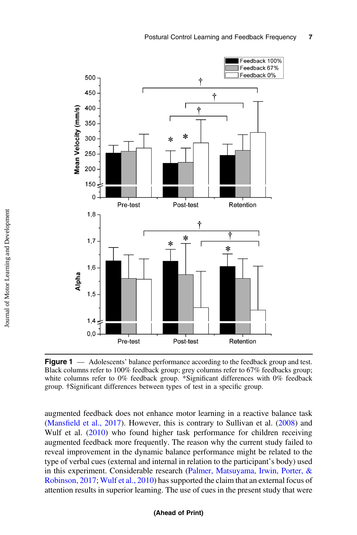Postural Control Learning and Feedback Frequency 7

<span id="page-6-0"></span>

**Figure 1** — Adolescents' balance performance according to the feedback group and test. Black columns refer to 100% feedback group; grey columns refer to 67% feedbacks group; white columns refer to 0% feedback group. \*Significant differences with 0% feedback group. †Significant differences between types of test in a specific group.

augmented feedback does not enhance motor learning in a reactive balance task (Mansfi[eld et al., 2017\)](#page-8-0). However, this is contrary to Sullivan et al. ([2008\)](#page-9-0) and Wulf et al. [\(2010](#page-9-0)) who found higher task performance for children receiving augmented feedback more frequently. The reason why the current study failed to reveal improvement in the dynamic balance performance might be related to the type of verbal cues (external and internal in relation to the participant's body) used in this experiment. Considerable research ([Palmer, Matsuyama, Irwin, Porter, &](#page-8-0) [Robinson, 2017;](#page-8-0) [Wulf et al., 2010](#page-9-0)) has supported the claim that an external focus of attention results in superior learning. The use of cues in the present study that were

#### (Ahead of Print)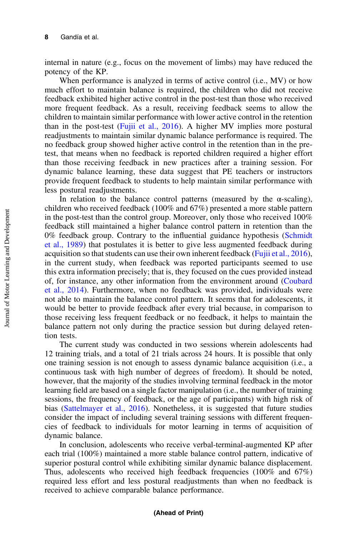internal in nature (e.g., focus on the movement of limbs) may have reduced the potency of the KP.

When performance is analyzed in terms of active control (i.e., MV) or how much effort to maintain balance is required, the children who did not receive feedback exhibited higher active control in the post-test than those who received more frequent feedback. As a result, receiving feedback seems to allow the children to maintain similar performance with lower active control in the retention than in the post-test [\(Fujii et al., 2016](#page-8-0)). A higher MV implies more postural readjustments to maintain similar dynamic balance performance is required. The no feedback group showed higher active control in the retention than in the pretest, that means when no feedback is reported children required a higher effort than those receiving feedback in new practices after a training session. For dynamic balance learning, these data suggest that PE teachers or instructors provide frequent feedback to students to help maintain similar performance with less postural readjustments.

In relation to the balance control patterns (measured by the  $\alpha$ -scaling), children who received feedback (100% and 67%) presented a more stable pattern in the post-test than the control group. Moreover, only those who received 100% feedback still maintained a higher balance control pattern in retention than the 0% feedback group. Contrary to the influential guidance hypothesis ([Schmidt](#page-9-0) [et al., 1989\)](#page-9-0) that postulates it is better to give less augmented feedback during acquisition so that students can use their own inherent feedback [\(Fujii et al., 2016](#page-8-0)), in the current study, when feedback was reported participants seemed to use this extra information precisely; that is, they focused on the cues provided instead of, for instance, any other information from the environment around [\(Coubard](#page-8-0) [et al., 2014\)](#page-8-0). Furthermore, when no feedback was provided, individuals were not able to maintain the balance control pattern. It seems that for adolescents, it would be better to provide feedback after every trial because, in comparison to those receiving less frequent feedback or no feedback, it helps to maintain the balance pattern not only during the practice session but during delayed retention tests.

The current study was conducted in two sessions wherein adolescents had 12 training trials, and a total of 21 trials across 24 hours. It is possible that only one training session is not enough to assess dynamic balance acquisition (i.e., a continuous task with high number of degrees of freedom). It should be noted, however, that the majority of the studies involving terminal feedback in the motor learning field are based on a single factor manipulation (i.e., the number of training sessions, the frequency of feedback, or the age of participants) with high risk of bias [\(Sattelmayer et al., 2016\)](#page-9-0). Nonetheless, it is suggested that future studies consider the impact of including several training sessions with different frequencies of feedback to individuals for motor learning in terms of acquisition of dynamic balance.

In conclusion, adolescents who receive verbal-terminal-augmented KP after each trial (100%) maintained a more stable balance control pattern, indicative of superior postural control while exhibiting similar dynamic balance displacement. Thus, adolescents who received high feedback frequencies (100% and 67%) required less effort and less postural readjustments than when no feedback is received to achieve comparable balance performance.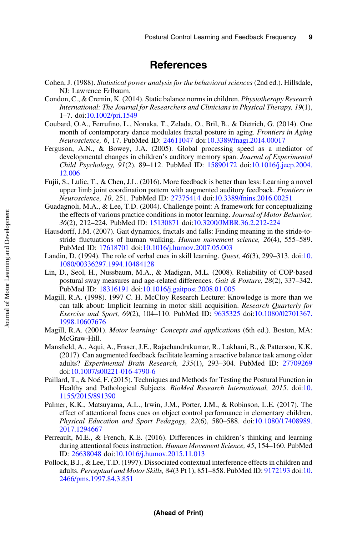# References

- <span id="page-8-0"></span>Cohen, J. (1988). Statistical power analysis for the behavioral sciences (2nd ed.). Hillsdale, NJ: Lawrence Erlbaum.
- Condon, C., & Cremin, K. (2014). Static balance norms in children. Physiotherapy Research International: The Journal for Researchers and Clinicians in Physical Therapy, 19(1), 1–7. doi[:10.1002/pri.1549](https://doi.org/10.1002/pri.1549)
- Coubard, O.A., Ferrufino, L., Nonaka, T., Zelada, O., Bril, B., & Dietrich, G. (2014). One month of contemporary dance modulates fractal posture in aging. Frontiers in Aging Neuroscience, 6, 17. PubMed ID: [24611047](http://www.ncbi.nlm.nih.gov/pubmed/24611047?dopt=Abstract) doi[:10.3389/fnagi.2014.00017](https://doi.org/10.3389/fnagi.2014.00017)
- Ferguson, A.N., & Bowey, J.A. (2005). Global processing speed as a mediator of developmental changes in children's auditory memory span. Journal of Experimental Child Psychology, 91(2), 89–112. PubMed ID: [15890172](http://www.ncbi.nlm.nih.gov/pubmed/15890172?dopt=Abstract) doi[:10.1016/j.jecp.2004.](https://doi.org/10.1016/j.jecp.2004.12.006) [12.006](https://doi.org/10.1016/j.jecp.2004.12.006)
- Fujii, S., Lulic, T., & Chen, J.L. (2016). More feedback is better than less: Learning a novel upper limb joint coordination pattern with augmented auditory feedback. Frontiers in Neuroscience, 10, 251. PubMed ID: [27375414](http://www.ncbi.nlm.nih.gov/pubmed/27375414?dopt=Abstract) doi[:10.3389/fnins.2016.00251](https://doi.org/10.3389/fnins.2016.00251)
- Guadagnoli, M.A., & Lee, T.D. (2004). Challenge point: A framework for conceptualizing the effects of various practice conditions in motor learning. Journal of Motor Behavior, 36(2), 212–224. PubMed ID: [15130871](http://www.ncbi.nlm.nih.gov/pubmed/15130871?dopt=Abstract) doi:[10.3200/JMBR.36.2.212-224](https://doi.org/10.3200/JMBR.36.2.212-224)
- Hausdorff, J.M. (2007). Gait dynamics, fractals and falls: Finding meaning in the stride-tostride fluctuations of human walking. Human movement science, 26(4), 555–589. PubMed ID: [17618701](http://www.ncbi.nlm.nih.gov/pubmed/17618701?dopt=Abstract) doi:[10.1016/j.humov.2007.05.003](https://doi.org/10.1016/j.humov.2007.05.003)
- Landin, D. (1994). The role of verbal cues in skill learning. Quest,  $46(3)$ , 299–313. doi:[10.](https://doi.org/10.1080/00336297.1994.10484128) [1080/00336297.1994.10484128](https://doi.org/10.1080/00336297.1994.10484128)
- Lin, D., Seol, H., Nussbaum, M.A., & Madigan, M.L. (2008). Reliability of COP-based postural sway measures and age-related differences. Gait & Posture, 28(2), 337-342. PubMed ID: [18316191](http://www.ncbi.nlm.nih.gov/pubmed/18316191?dopt=Abstract) doi:[10.1016/j.gaitpost.2008.01.005](https://doi.org/10.1016/j.gaitpost.2008.01.005)
- Magill, R.A. (1998). 1997 C. H. McCloy Research Lecture: Knowledge is more than we can talk about: Implicit learning in motor skill acquisition. Research Quarterly for Exercise and Sport, 69(2), 104–110. PubMed ID: [9635325](http://www.ncbi.nlm.nih.gov/pubmed/9635325?dopt=Abstract) doi[:10.1080/02701367.](https://doi.org/10.1080/02701367.1998.10607676) [1998.10607676](https://doi.org/10.1080/02701367.1998.10607676)
- Magill, R.A. (2001). Motor learning: Concepts and applications (6th ed.). Boston, MA: McGraw-Hill.
- Mansfield, A., Aqui, A., Fraser, J.E., Rajachandrakumar, R., Lakhani, B., & Patterson, K.K. (2017). Can augmented feedback facilitate learning a reactive balance task among older adults? Experimental Brain Research, 235(1), 293–304. PubMed ID: [27709269](http://www.ncbi.nlm.nih.gov/pubmed/27709269?dopt=Abstract) doi:[10.1007/s00221-016-4790-6](https://doi.org/10.1007/s00221-016-4790-6)
- Paillard, T., & Noé, F. (2015). Techniques and Methods for Testing the Postural Function in Healthy and Pathological Subjects. BioMed Research International, 2015. doi:[10.](https://doi.org/10.1155/2015/891390) [1155/2015/891390](https://doi.org/10.1155/2015/891390)
- Palmer, K.K., Matsuyama, A.L., Irwin, J.M., Porter, J.M., & Robinson, L.E. (2017). The effect of attentional focus cues on object control performance in elementary children. Physical Education and Sport Pedagogy, 22(6), 580–588. doi[:10.1080/17408989.](https://doi.org/10.1080/17408989.2017.1294667) [2017.1294667](https://doi.org/10.1080/17408989.2017.1294667)
- Perreault, M.E., & French, K.E. (2016). Differences in children's thinking and learning during attentional focus instruction. Human Movement Science, 45, 154–160. PubMed ID: [26638048](http://www.ncbi.nlm.nih.gov/pubmed/26638048?dopt=Abstract) doi:[10.1016/j.humov.2015.11.013](https://doi.org/10.1016/j.humov.2015.11.013)
- Pollock, B.J., & Lee, T.D. (1997). Dissociated contextual interference effects in children and adults. Perceptual and Motor Skills, 84(3 Pt 1), 851–858. PubMed ID: [9172193](http://www.ncbi.nlm.nih.gov/pubmed/9172193?dopt=Abstract) doi:[10.](https://doi.org/10.2466/pms.1997.84.3.851) [2466/pms.1997.84.3.851](https://doi.org/10.2466/pms.1997.84.3.851)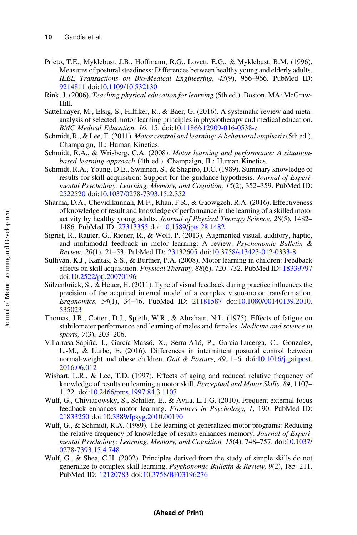- <span id="page-9-0"></span>Prieto, T.E., Myklebust, J.B., Hoffmann, R.G., Lovett, E.G., & Myklebust, B.M. (1996). Measures of postural steadiness: Differences between healthy young and elderly adults. IEEE Transactions on Bio-Medical Engineering, 43(9), 956–966. PubMed ID: [9214811](http://www.ncbi.nlm.nih.gov/pubmed/9214811?dopt=Abstract) doi[:10.1109/10.532130](https://doi.org/10.1109/10.532130)
- Rink, J. (2006). Teaching physical education for learning (5th ed.). Boston, MA: McGraw-Hill.
- Sattelmayer, M., Elsig, S., Hilfiker, R., & Baer, G. (2016). A systematic review and metaanalysis of selected motor learning principles in physiotherapy and medical education. BMC Medical Education, 16, 15. doi[:10.1186/s12909-016-0538-z](https://doi.org/10.1186/s12909-016-0538-z)
- Schmidt, R., & Lee, T. (2011). Motor control and learning: A behavioral emphasis (5th ed.). Champaign, IL: Human Kinetics.
- Schmidt, R.A., & Wrisberg, C.A. (2008). Motor learning and performance: A situationbased learning approach (4th ed.). Champaign, IL: Human Kinetics.
- Schmidt, R.A., Young, D.E., Swinnen, S., & Shapiro, D.C. (1989). Summary knowledge of results for skill acquisition: Support for the guidance hypothesis. Journal of Experimental Psychology. Learning, Memory, and Cognition, 15(2), 352–359. PubMed ID: [2522520](http://www.ncbi.nlm.nih.gov/pubmed/2522520?dopt=Abstract) doi[:10.1037/0278-7393.15.2.352](https://doi.org/10.1037/0278-7393.15.2.352)
- Sharma, D.A., Chevidikunnan, M.F., Khan, F.R., & Gaowgzeh, R.A. (2016). Effectiveness of knowledge of result and knowledge of performance in the learning of a skilled motor activity by healthy young adults. Journal of Physical Therapy Science, 28(5), 1482-1486. PubMed ID: [27313355](http://www.ncbi.nlm.nih.gov/pubmed/27313355?dopt=Abstract) doi[:10.1589/jpts.28.1482](https://doi.org/10.1589/jpts.28.1482)
- Sigrist, R., Rauter, G., Riener, R., & Wolf, P. (2013). Augmented visual, auditory, haptic, and multimodal feedback in motor learning: A review. Psychonomic Bulletin & Review, 20(1), 21–53. PubMed ID: [23132605](http://www.ncbi.nlm.nih.gov/pubmed/23132605?dopt=Abstract) doi:[10.3758/s13423-012-0333-8](https://doi.org/10.3758/s13423-012-0333-8)
- Sullivan, K.J., Kantak, S.S., & Burtner, P.A. (2008). Motor learning in children: Feedback effects on skill acquisition. Physical Therapy, 88(6), 720-732. PubMed ID: [18339797](http://www.ncbi.nlm.nih.gov/pubmed/18339797?dopt=Abstract) doi:[10.2522/ptj.20070196](https://doi.org/10.2522/ptj.20070196)
- Sülzenbrück, S., & Heuer, H. (2011). Type of visual feedback during practice influences the precision of the acquired internal model of a complex visuo-motor transformation. Ergonomics, 54(1), 34–46. PubMed ID: [21181587](http://www.ncbi.nlm.nih.gov/pubmed/21181587?dopt=Abstract) doi:[10.1080/00140139.2010.](https://doi.org/10.1080/00140139.2010.535023) [535023](https://doi.org/10.1080/00140139.2010.535023)
- Thomas, J.R., Cotten, D.J., Spieth, W.R., & Abraham, N.L. (1975). Effects of fatigue on stabilometer performance and learning of males and females. Medicine and science in sports, 7(3), 203–206.
- Villarrasa-Sapiña, I., García-Massó, X., Serra-Añó, P., Garcia-Lucerga, C., Gonzalez, L.-M., & Lurbe, E. (2016). Differences in intermittent postural control between normal-weight and obese children. Gait & Posture, 49, 1-6. doi[:10.1016/j.gaitpost.](https://doi.org/10.1016/j.gaitpost.2016.06.012) [2016.06.012](https://doi.org/10.1016/j.gaitpost.2016.06.012)
- Wishart, L.R., & Lee, T.D. (1997). Effects of aging and reduced relative frequency of knowledge of results on learning a motor skill. Perceptual and Motor Skills, 84, 1107-1122. doi:[10.2466/pms.1997.84.3.1107](https://doi.org/10.2466/pms.1997.84.3.1107)
- Wulf, G., Chiviacowsky, S., Schiller, E., & Avila, L.T.G. (2010). Frequent external-focus feedback enhances motor learning. Frontiers in Psychology, 1, 190. PubMed ID: [21833250](http://www.ncbi.nlm.nih.gov/pubmed/21833250?dopt=Abstract) doi:[10.3389/fpsyg.2010.00190](https://doi.org/10.3389/fpsyg.2010.00190)
- Wulf, G., & Schmidt, R.A. (1989). The learning of generalized motor programs: Reducing the relative frequency of knowledge of results enhances memory. Journal of Experi-mental Psychology: Learning, Memory, and Cognition, 15(4), 748-757. doi[:10.1037/](https://doi.org/10.1037/0278-7393.15.4.748) [0278-7393.15.4.748](https://doi.org/10.1037/0278-7393.15.4.748)
- Wulf, G., & Shea, C.H. (2002). Principles derived from the study of simple skills do not generalize to complex skill learning. Psychonomic Bulletin & Review, 9(2), 185–211. PubMed ID: [12120783](http://www.ncbi.nlm.nih.gov/pubmed/12120783?dopt=Abstract) doi:[10.3758/BF03196276](https://doi.org/10.3758/BF03196276)

#### (Ahead of Print)